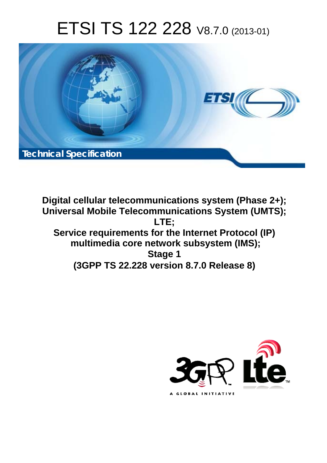# ETSI TS 122 228 V8.7.0 (2013-01)



**Digital cellular telecommunications system (Phase 2+); Universal Mobile Telecommunications System (UMTS); LTE; Service requirements for the Internet Protocol (IP) multimedia core network subsystem (IMS); Stage 1 (3GPP TS 22.228 version 8.7.0 Release 8)** 

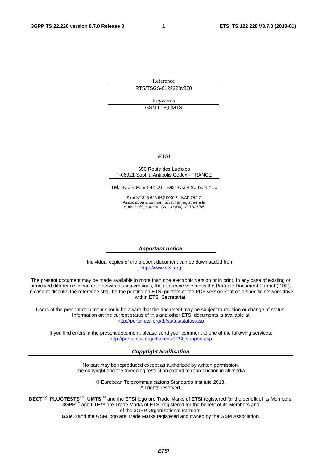Reference RTS/TSGS-0122228v870

> Keywords GSM,LTE,UMTS

#### *ETSI*

#### 650 Route des Lucioles F-06921 Sophia Antipolis Cedex - FRANCE

Tel.: +33 4 92 94 42 00 Fax: +33 4 93 65 47 16

Siret N° 348 623 562 00017 - NAF 742 C Association à but non lucratif enregistrée à la Sous-Préfecture de Grasse (06) N° 7803/88

#### *Important notice*

Individual copies of the present document can be downloaded from: [http://www.etsi.org](http://www.etsi.org/)

The present document may be made available in more than one electronic version or in print. In any case of existing or perceived difference in contents between such versions, the reference version is the Portable Document Format (PDF). In case of dispute, the reference shall be the printing on ETSI printers of the PDF version kept on a specific network drive within ETSI Secretariat.

Users of the present document should be aware that the document may be subject to revision or change of status. Information on the current status of this and other ETSI documents is available at <http://portal.etsi.org/tb/status/status.asp>

If you find errors in the present document, please send your comment to one of the following services: [http://portal.etsi.org/chaircor/ETSI\\_support.asp](http://portal.etsi.org/chaircor/ETSI_support.asp)

#### *Copyright Notification*

No part may be reproduced except as authorized by written permission. The copyright and the foregoing restriction extend to reproduction in all media.

> © European Telecommunications Standards Institute 2013. All rights reserved.

**DECT**TM, **PLUGTESTS**TM, **UMTS**TM and the ETSI logo are Trade Marks of ETSI registered for the benefit of its Members. **3GPP**TM and **LTE**™ are Trade Marks of ETSI registered for the benefit of its Members and of the 3GPP Organizational Partners.

**GSM**® and the GSM logo are Trade Marks registered and owned by the GSM Association.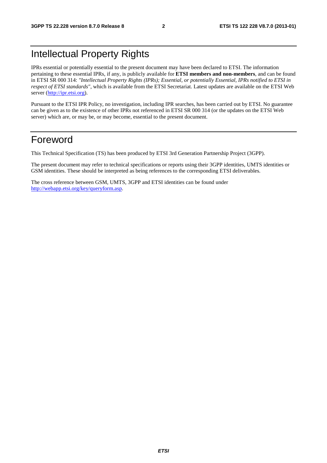## Intellectual Property Rights

IPRs essential or potentially essential to the present document may have been declared to ETSI. The information pertaining to these essential IPRs, if any, is publicly available for **ETSI members and non-members**, and can be found in ETSI SR 000 314: *"Intellectual Property Rights (IPRs); Essential, or potentially Essential, IPRs notified to ETSI in respect of ETSI standards"*, which is available from the ETSI Secretariat. Latest updates are available on the ETSI Web server [\(http://ipr.etsi.org](http://webapp.etsi.org/IPR/home.asp)).

Pursuant to the ETSI IPR Policy, no investigation, including IPR searches, has been carried out by ETSI. No guarantee can be given as to the existence of other IPRs not referenced in ETSI SR 000 314 (or the updates on the ETSI Web server) which are, or may be, or may become, essential to the present document.

#### Foreword

This Technical Specification (TS) has been produced by ETSI 3rd Generation Partnership Project (3GPP).

The present document may refer to technical specifications or reports using their 3GPP identities, UMTS identities or GSM identities. These should be interpreted as being references to the corresponding ETSI deliverables.

The cross reference between GSM, UMTS, 3GPP and ETSI identities can be found under [http://webapp.etsi.org/key/queryform.asp.](http://webapp.etsi.org/key/queryform.asp)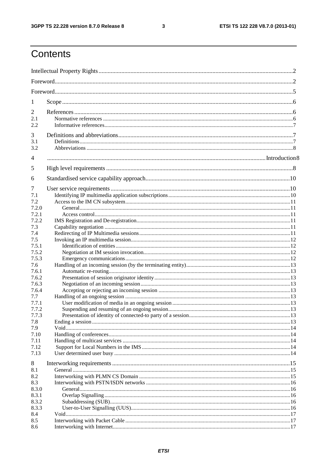$\mathbf{3}$ 

## Contents

| 1                                                                                                                                                                                             |  |  |  |  |  |  |
|-----------------------------------------------------------------------------------------------------------------------------------------------------------------------------------------------|--|--|--|--|--|--|
| 2<br>2.1<br>2.2                                                                                                                                                                               |  |  |  |  |  |  |
| 3<br>3.1<br>3.2                                                                                                                                                                               |  |  |  |  |  |  |
| 4                                                                                                                                                                                             |  |  |  |  |  |  |
| 5                                                                                                                                                                                             |  |  |  |  |  |  |
| 6                                                                                                                                                                                             |  |  |  |  |  |  |
| 7<br>7.1<br>7.2<br>7.2.0<br>7.2.1<br>7.2.2<br>7.3<br>7.4<br>7.5<br>7.5.1<br>7.5.2<br>7.5.3<br>7.6<br>7.6.1<br>7.6.2<br>7.6.3<br>7.6.4<br>7.7<br>7.7.1<br>7.7.2<br>7.7.3<br>7.8<br>7.9<br>7.10 |  |  |  |  |  |  |
| 7.11<br>7.12<br>7.13                                                                                                                                                                          |  |  |  |  |  |  |
| 8<br>8.1<br>8.2<br>8.3<br>8.3.0<br>8.3.1<br>8.3.2<br>8.3.3<br>8.4<br>8.5<br>8.6                                                                                                               |  |  |  |  |  |  |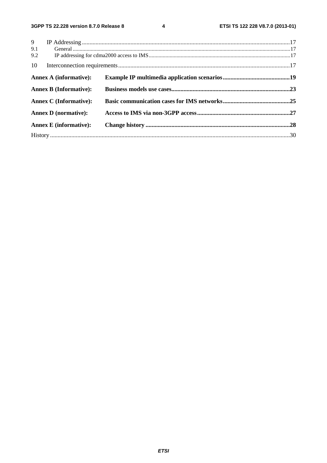$\overline{\mathbf{4}}$ 

| 9                             |  |
|-------------------------------|--|
| 9.1                           |  |
| 9.2                           |  |
| 10                            |  |
| <b>Annex A (informative):</b> |  |
| <b>Annex B (Informative):</b> |  |
| <b>Annex C</b> (Informative): |  |
| <b>Annex D</b> (normative):   |  |
| <b>Annex E</b> (informative): |  |
|                               |  |
|                               |  |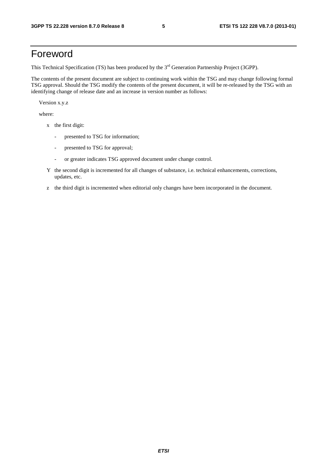#### Foreword

This Technical Specification (TS) has been produced by the 3<sup>rd</sup> Generation Partnership Project (3GPP).

The contents of the present document are subject to continuing work within the TSG and may change following formal TSG approval. Should the TSG modify the contents of the present document, it will be re-released by the TSG with an identifying change of release date and an increase in version number as follows:

Version x.y.z

where:

- x the first digit:
	- presented to TSG for information;
	- presented to TSG for approval;
	- or greater indicates TSG approved document under change control.
- Y the second digit is incremented for all changes of substance, i.e. technical enhancements, corrections, updates, etc.
- z the third digit is incremented when editorial only changes have been incorporated in the document.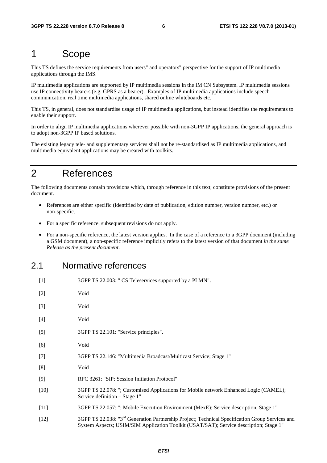#### 1 Scope

This TS defines the service requirements from users" and operators" perspective for the support of IP multimedia applications through the IMS.

IP multimedia applications are supported by IP multimedia sessions in the IM CN Subsystem. IP multimedia sessions use IP connectivity bearers (e.g. GPRS as a bearer). Examples of IP multimedia applications include speech communication, real time multimedia applications, shared online whiteboards etc.

This TS, in general, does not standardise usage of IP multimedia applications, but instead identifies the requirements to enable their support.

In order to align IP multimedia applications wherever possible with non-3GPP IP applications, the general approach is to adopt non-3GPP IP based solutions.

The existing legacy tele- and supplementary services shall not be re-standardised as IP multimedia applications, and multimedia equivalent applications may be created with toolkits.

#### 2 References

The following documents contain provisions which, through reference in this text, constitute provisions of the present document.

- References are either specific (identified by date of publication, edition number, version number, etc.) or non-specific.
- For a specific reference, subsequent revisions do not apply.
- For a non-specific reference, the latest version applies. In the case of a reference to a 3GPP document (including a GSM document), a non-specific reference implicitly refers to the latest version of that document *in the same Release as the present document*.

#### 2.1 Normative references

| $[1]$  | 3GPP TS 22.003: " CS Teleservices supported by a PLMN".                                                                                                                                               |
|--------|-------------------------------------------------------------------------------------------------------------------------------------------------------------------------------------------------------|
| $[2]$  | Void                                                                                                                                                                                                  |
| $[3]$  | Void                                                                                                                                                                                                  |
| $[4]$  | Void                                                                                                                                                                                                  |
| $[5]$  | 3GPP TS 22.101: "Service principles".                                                                                                                                                                 |
| [6]    | Void                                                                                                                                                                                                  |
| $[7]$  | 3GPP TS 22.146: "Multimedia Broadcast/Multicast Service; Stage 1"                                                                                                                                     |
| [8]    | Void                                                                                                                                                                                                  |
| $[9]$  | RFC 3261: "SIP: Session Initiation Protocol"                                                                                                                                                          |
| $[10]$ | 3GPP TS 22.078: "; Customised Applications for Mobile network Enhanced Logic (CAMEL);<br>Service definition – Stage 1"                                                                                |
| $[11]$ | 3GPP TS 22.057: "; Mobile Execution Environment (MexE); Service description, Stage 1"                                                                                                                 |
| $[12]$ | 3GPP TS 22.038: "3 <sup>rd</sup> Generation Partnership Project; Technical Specification Group Services and<br>System Aspects; USIM/SIM Application Toolkit (USAT/SAT); Service description; Stage 1" |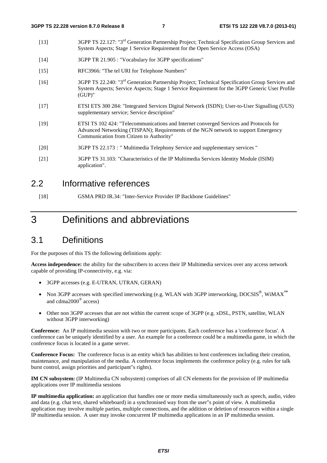- [13] 3GPP TS 22.127: "3rd Generation Partnership Project; Technical Specification Group Services and System Aspects; Stage 1 Service Requirement for the Open Service Access (OSA)
- [14] 3GPP TR 21.905 : "Vocabulary for 3GPP specifications"
- [15] RFC3966: "The tel URI for Telephone Numbers"
- [16] 3GPP TS 22.240: "3rd Generation Partnership Project; Technical Specification Group Services and System Aspects; Service Aspects; Stage 1 Service Requirement for the 3GPP Generic User Profile (GUP)"
- [17] ETSI ETS 300 284: "Integrated Services Digital Network (ISDN); User-to-User Signalling (UUS) supplementary service; Service description"
- [19] ETSI TS 102 424: "Telecommunications and Internet converged Services and Protocols for Advanced Networking (TISPAN); Requirements of the NGN network to support Emergency Communication from Citizen to Authority"
- [20] 3GPP TS 22.173 : " Multimedia Telephony Service and supplementary services "
- [21] 3GPP TS 31.103: "Characteristics of the IP Multimedia Services Identity Module (ISIM) application".

#### 2.2 Informative references

[18] GSMA PRD IR.34: "Inter-Service Provider IP Backbone Guidelines"

#### 3 Definitions and abbreviations

#### 3.1 Definitions

For the purposes of this TS the following definitions apply:

**Access independence:** the ability for the subscribers to access their IP Multimedia services over any access network capable of providing IP-connectivity, e.g. via:

- 3GPP accesses (e.g. E-UTRAN, UTRAN, GERAN)
- Non 3GPP accesses with specified interworking (e.g. WLAN with 3GPP interworking, DOCSIS®, WiMAX**™** and cdma2000® access)
- Other non 3GPP accesses that are not within the current scope of 3GPP (e.g. xDSL, PSTN, satellite, WLAN without 3GPP interworking)

**Conference:** An IP multimedia session with two or more participants. Each conference has a 'conference focus'. A conference can be uniquely identified by a user. An example for a conference could be a multimedia game, in which the conference focus is located in a game server.

**Conference Focus:** The conference focus is an entity which has abilities to host conferences including their creation, maintenance, and manipulation of the media. A conference focus implements the conference policy (e.g. rules for talk burst control, assign priorities and participant"s rights).

**IM CN subsystem:** (IP Multimedia CN subsystem) comprises of all CN elements for the provision of IP multimedia applications over IP multimedia sessions

**IP multimedia application:** an application that handles one or more media simultaneously such as speech, audio, video and data (e.g. chat text, shared whiteboard) in a synchronised way from the user"s point of view. A multimedia application may involve multiple parties, multiple connections, and the addition or deletion of resources within a single IP multimedia session. A user may invoke concurrent IP multimedia applications in an IP multimedia session.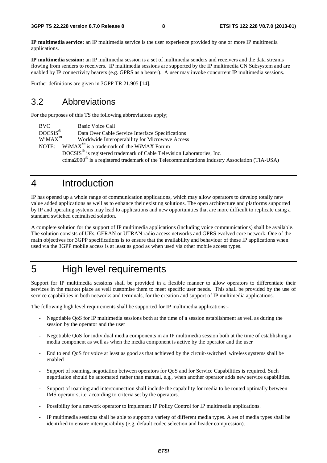**IP multimedia service:** an IP multimedia service is the user experience provided by one or more IP multimedia applications.

**IP multimedia session:** an IP multimedia session is a set of multimedia senders and receivers and the data streams flowing from senders to receivers. IP multimedia sessions are supported by the IP multimedia CN Subsystem and are enabled by IP connectivity bearers (e.g. GPRS as a bearer). A user may invoke concurrent IP multimedia sessions.

Further definitions are given in 3GPP TR 21.905 [14].

#### 3.2 Abbreviations

For the purposes of this TS the following abbreviations apply;

BVC Basic Voice Call<br>DOCSIS<sup>®</sup> Data Over Cable Data Over Cable Service Interface Specifications WiMAX**™** Worldwide Interoperability for Microwave Access NOTE: WiMAX<sup> $<sup>m</sup>$ </sup> is a trademark of the WiMAX Forum</sup> DOCSIS® is registered trademark of Cable Television Laboratories, Inc. cdma2000® is a registered trademark of the Telecommunications Industry Association (TIA-USA)

#### 4 Introduction

IP has opened up a whole range of communication applications, which may allow operators to develop totally new value added applications as well as to enhance their existing solutions. The open architecture and platforms supported by IP and operating systems may lead to applications and new opportunities that are more difficult to replicate using a standard switched centralised solution.

A complete solution for the support of IP multimedia applications (including voice communications) shall be available. The solution consists of UEs, GERAN or UTRAN radio access networks and GPRS evolved core network. One of the main objectives for 3GPP specifications is to ensure that the availability and behaviour of these IP applications when used via the 3GPP mobile access is at least as good as when used via other mobile access types.

### 5 High level requirements

Support for IP multimedia sessions shall be provided in a flexible manner to allow operators to differentiate their services in the market place as well customise them to meet specific user needs. This shall be provided by the use of service capabilities in both networks and terminals, for the creation and support of IP multimedia applications.

The following high level requirements shall be supported for IP multimedia applications:-

- Negotiable QoS for IP multimedia sessions both at the time of a session establishment as well as during the session by the operator and the user
- Negotiable QoS for individual media components in an IP multimedia session both at the time of establishing a media component as well as when the media component is active by the operator and the user
- End to end QoS for voice at least as good as that achieved by the circuit-switched wireless systems shall be enabled
- Support of roaming, negotiation between operators for QoS and for Service Capabilities is required. Such negotiation should be automated rather than manual, e.g., when another operator adds new service capabilities.
- Support of roaming and interconnection shall include the capability for media to be routed optimally between IMS operators, i.e. according to criteria set by the operators.
- Possibility for a network operator to implement IP Policy Control for IP multimedia applications.
- IP multimedia sessions shall be able to support a variety of different media types. A set of media types shall be identified to ensure interoperability (e.g. default codec selection and header compression).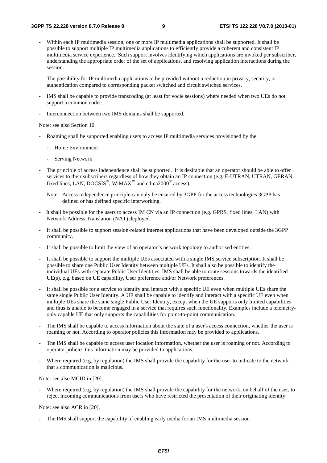- Within each IP multimedia session, one or more IP multimedia applications shall be supported. It shall be possible to support multiple IP multimedia applications to efficiently provide a coherent and consistent IP multimedia service experience. Such support involves identifying which applications are invoked per subscriber, understanding the appropriate order of the set of applications, and resolving application interactions during the session.
- The possibility for IP multimedia applications to be provided without a reduction in privacy, security, or authentication compared to corresponding packet switched and circuit switched services.
- IMS shall be capable to provide transcoding (at least for vocie sessions) where needed when two UEs do not support a common codec.
- Interconnection between two IMS domains shall be supported.

Note: see also Section 10

- Roaming shall be supported enabling users to access IP multimedia services provisioned by the:
	- Home Environment
	- Serving Network
- The principle of access independence shall be supported. It is desirable that an operator should be able to offer services to their subscribers regardless of how they obtain an IP connection (e.g. E-UTRAN, UTRAN, GERAN, fixed lines, LAN, DOCSIS®, WiMAX**™** and cdma2000® access).
	- Note: Access independence principle can only be ensured by 3GPP for the access technologies 3GPP has defined or has defined specific interworking.
- It shall be possible for the users to access IM CN via an IP connection (e.g. GPRS, fixed lines, LAN) with Network Address Translation (NAT) deployed.
- It shall be possible to support session-related internet applications that have been developed outside the 3GPP community.
- It shall be possible to limit the view of an operator"s network topology to authorised entities.
- It shall be possible to support the multiple UEs associated with a single IMS service subscription. It shall be possible to share one Public User Identity between multiple UEs. It shall also be possible to identify the individual UEs with separate Public User Identities. IMS shall be able to route sessions towards the identified UE(s), e.g. based on UE capability, User preference and/or Network preferences.
- It shall be possible for a service to identify and interact with a specific UE even when multiple UEs share the same single Public User Identity. A UE shall be capable to identify and interact with a specific UE even when multiple UEs share the same single Public User Identity, except when the UE supports only limited capabilities and thus is unable to become engaged in a service that requires such functionality. Examples include a telemetryonly capable UE that only supports the capabilities for point-to-point communication.
- The IMS shall be capable to access information about the state of a user's access connection, whether the user is roaming or not. According to operator policies this information may be provided to applications.
- The IMS shall be capable to access user location information, whether the user is roaming or not. According to operator policies this information may be provided to applications.
- Where required (e.g. by regulation) the IMS shall provide the capability for the user to indicate to the network that a communication is malicious.

Note: see also MCID in [20].

Where required (e.g. by regulation) the IMS shall provide the capability for the network, on behalf of the user, to reject incoming communications from users who have restricted the presentation of their originating identity.

Note: see also ACR in [20].

The IMS shall support the capability of enabling early media for an IMS multimedia session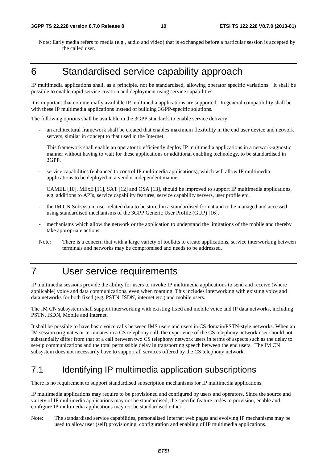Note: Early media refers to media (e.g., audio and video) that is exchanged before a particular session is accepted by the called user.

## 6 Standardised service capability approach

IP multimedia applications shall, as a principle, not be standardised, allowing operator specific variations. It shall be possible to enable rapid service creation and deployment using service capabilities.

It is important that commercially available IP multimedia applications are supported. In general compatibility shall be with these IP multimedia applications instead of building 3GPP-specific solutions.

The following options shall be available in the 3GPP standards to enable service delivery:

an architectural framework shall be created that enables maximum flexibility in the end user device and network servers, similar in concept to that used in the Internet.

This framework shall enable an operator to efficiently deploy IP multimedia applications in a network-agnostic manner without having to wait for these applications or additional enabling technology, to be standardised in 3GPP.

- service capabilities (enhanced to control IP multimedia applications), which will allow IP multimedia applications to be deployed in a vendor independent manner

CAMEL [10], MExE [11], SAT [12] and OSA [13], should be improved to support IP multimedia applications, e.g. additions to APIs, service capability features, service capability servers, user profile etc.

- the IM CN Subsystem user related data to be stored in a standardised format and to be managed and accessed using standardised mechanisms of the 3GPP Generic User Profile (GUP) [16].
- mechanisms which allow the network or the application to understand the limitations of the mobile and thereby take appropriate actions.
- Note: There is a concern that with a large variety of toolkits to create applications, service interworking between terminals and networks may be compromised and needs to be addressed.

#### 7 User service requirements

IP multimedia sessions provide the ability for users to invoke IP multimedia applications to send and receive (where applicable) voice and data communications, even when roaming. This includes interworking with existing voice and data networks for both fixed (e.g. PSTN, ISDN, internet etc.) and mobile users.

The IM CN subsystem shall support interworking with existing fixed and mobile voice and IP data networks, including PSTN, ISDN, Mobile and Internet.

It shall be possible to have basic voice calls between IMS users and users in CS domain/PSTN-style networks. When an IM session originates or terminates in a CS telephony call, the experience of the CS telephony network user should not substantially differ from that of a call between two CS telephony network users in terms of aspects such as the delay to set-up communications and the total permissible delay in transporting speech between the end users. The IM CN subsystem does not necessarily have to support all services offered by the CS telephony network.

#### 7.1 Identifying IP multimedia application subscriptions

There is no requirement to support standardised subscription mechanisms for IP multimedia applications.

IP multimedia applications may require to be provisioned and configured by users and operators. Since the source and variety of IP multimedia applications may not be standardised, the specific feature codes to provision, enable and configure IP multimedia applications may not be standardised either. .

Note: The standardised service capabilities, personalised Internet web pages and evolving IP mechanisms may be used to allow user (self) provisioning, configuration and enabling of IP multimedia applications.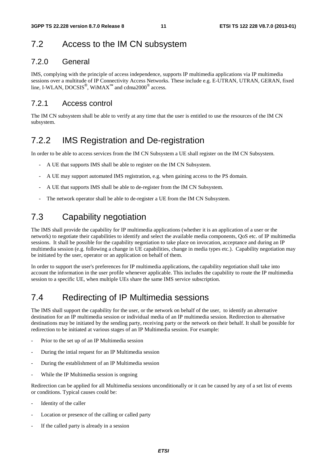#### 7.2 Access to the IM CN subsystem

#### 7.2.0 General

IMS, complying with the principle of access independence, supports IP multimedia applications via IP multimedia sessions over a multitude of IP Connectivity Access Networks. These include e.g. E-UTRAN, UTRAN, GERAN, fixed line, I-WLAN, DOCSIS<sup>®</sup>, WiMAX<sup>™</sup> and cdma2000<sup>®</sup> access.

#### 7.2.1 Access control

The IM CN subsystem shall be able to verify at any time that the user is entitled to use the resources of the IM CN subsystem.

#### 7.2.2 IMS Registration and De-registration

In order to be able to access services from the IM CN Subsystem a UE shall register on the IM CN Subsystem.

- A UE that supports IMS shall be able to register on the IM CN Subsystem.
- A UE may support automated IMS registration, e.g. when gaining access to the PS domain.
- A UE that supports IMS shall be able to de-register from the IM CN Subsystem.
- The network operator shall be able to de-register a UE from the IM CN Subsystem.

#### 7.3 Capability negotiation

The IMS shall provide the capability for IP multimedia applications (whether it is an application of a user or the network) to negotiate their capabilities to identify and select the available media components, QoS etc. of IP multimedia sessions. It shall be possible for the capability negotiation to take place on invocation, acceptance and during an IP multimedia session (e.g. following a change in UE capabilities, change in media types etc.). Capability negotiation may be initiated by the user, operator or an application on behalf of them.

In order to support the user's preferences for IP multimedia applications, the capability negotiation shall take into account the information in the user profile whenever applicable. This includes the capability to route the IP multimedia session to a specific UE, when multiple UEs share the same IMS service subscription.

#### 7.4 Redirecting of IP Multimedia sessions

The IMS shall support the capability for the user, or the network on behalf of the user, to identify an alternative destination for an IP multimedia session or individual media of an IP multimedia session. Redirection to alternative destinations may be initiated by the sending party, receiving party or the network on their behalf. It shall be possible for redirection to be initiated at various stages of an IP Multimedia session. For example:

- Prior to the set up of an IP Multimedia session
- During the intial request for an IP Multimedia session
- During the establishment of an IP Multimedia session
- While the IP Multimedia session is ongoing

Redirection can be applied for all Multimedia sessions unconditionally or it can be caused by any of a set list of events or conditions. Typical causes could be:

- Identity of the caller
- Location or presence of the calling or called party
- If the called party is already in a session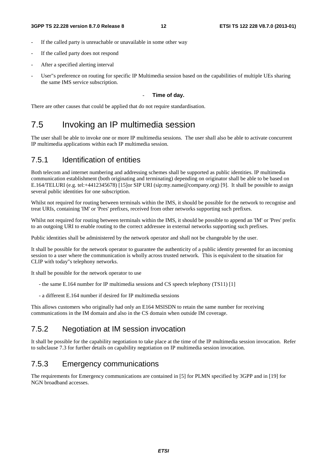- If the called party is unreachable or unavailable in some other way
- If the called party does not respond
- After a specified alerting interval
- User"s preference on routing for specific IP Multimedia session based on the capabilities of multiple UEs sharing the same IMS service subscription.

#### **Time of day.**

There are other causes that could be applied that do not require standardisation.

#### 7.5 Invoking an IP multimedia session

The user shall be able to invoke one or more IP multimedia sessions. The user shall also be able to activate concurrent IP multimedia applications within each IP multimedia session.

#### 7.5.1 Identification of entities

Both telecom and internet numbering and addressing schemes shall be supported as public identities. IP multimedia communication establishment (both originating and terminating) depending on originator shall be able to be based on E.164/TELURI (e.g. tel:+4412345678) [15]or SIP URI (sip:my.name@company.org) [9]. It shall be possible to assign several public identities for one subscription.

Whilst not required for routing between terminals within the IMS, it should be possible for the network to recognise and treat URIs, containing 'IM' or 'Pres' prefixes, received from other networks supporting such prefixes.

Whilst not required for routing between terminals within the IMS, it should be possible to append an 'IM' or 'Pres' prefix to an outgoing URI to enable routing to the correct addressee in external networks supporting such prefixes.

Public identities shall be administered by the network operator and shall not be changeable by the user.

It shall be possible for the network operator to guarantee the authenticity of a public identity presented for an incoming session to a user where the communication is wholly across trusted network. This is equivalent to the situation for CLIP with today"s telephony networks.

It shall be possible for the network operator to use

- the same E.164 number for IP multimedia sessions and CS speech telephony (TS11) [1]
- a different E.164 number if desired for IP multimedia sessions

This allows customers who originally had only an E164 MSISDN to retain the same number for receiving communications in the IM domain and also in the CS domain when outside IM coverage.

#### 7.5.2 Negotiation at IM session invocation

It shall be possible for the capability negotiation to take place at the time of the IP multimedia session invocation. Refer to subclause 7.3 for further details on capability negotiation on IP multimedia session invocation.

#### 7.5.3 Emergency communications

The requirements for Emergency communications are contained in [5] for PLMN specified by 3GPP and in [19] for NGN broadband accesses.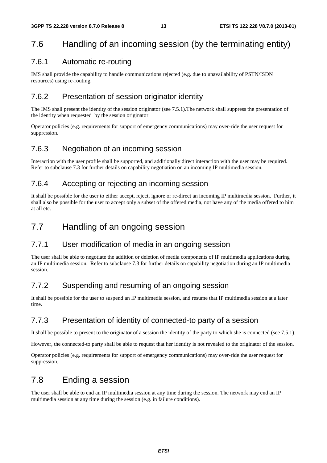### 7.6 Handling of an incoming session (by the terminating entity)

#### 7.6.1 Automatic re-routing

IMS shall provide the capability to handle communications rejected (e.g. due to unavailability of PSTN/ISDN resources) using re-routing.

#### 7.6.2 Presentation of session originator identity

The IMS shall present the identity of the session originator (see 7.5.1).The network shall suppress the presentation of the identity when requested by the session originator.

Operator policies (e.g. requirements for support of emergency communications) may over-ride the user request for suppression.

#### 7.6.3 Negotiation of an incoming session

Interaction with the user profile shall be supported, and additionally direct interaction with the user may be required. Refer to subclause 7.3 for further details on capability negotiation on an incoming IP multimedia session.

#### 7.6.4 Accepting or rejecting an incoming session

It shall be possible for the user to either accept, reject, ignore or re-direct an incoming IP multimedia session. Further, it shall also be possible for the user to accept only a subset of the offered media, not have any of the media offered to him at all etc.

#### 7.7 Handling of an ongoing session

#### 7.7.1 User modification of media in an ongoing session

The user shall be able to negotiate the addition or deletion of media components of IP multimedia applications during an IP multimedia session. Refer to subclause 7.3 for further details on capability negotiation during an IP multimedia session.

#### 7.7.2 Suspending and resuming of an ongoing session

It shall be possible for the user to suspend an IP multimedia session, and resume that IP multimedia session at a later time.

#### 7.7.3 Presentation of identity of connected-to party of a session

It shall be possible to present to the originator of a session the identity of the party to which she is connected (see 7.5.1).

However, the connected-to party shall be able to request that her identity is not revealed to the originator of the session.

Operator policies (e.g. requirements for support of emergency communications) may over-ride the user request for suppression.

#### 7.8 Ending a session

The user shall be able to end an IP multimedia session at any time during the session. The network may end an IP multimedia session at any time during the session (e.g. in failure conditions).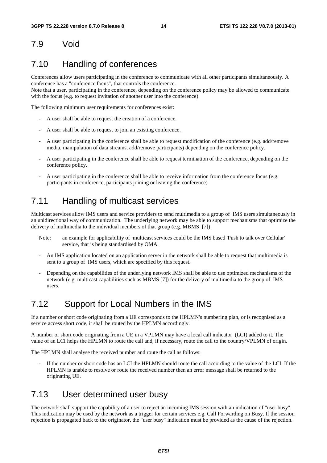#### 7.9 Void

#### 7.10 Handling of conferences

Conferences allow users participating in the conference to communicate with all other participants simultaneously. A conference has a "conference focus", that controls the conference.

Note that a user, participating in the conference, depending on the conference policy may be allowed to communicate with the focus (e.g. to request invitation of another user into the conference).

The following minimum user requirements for conferences exist:

- A user shall be able to request the creation of a conference.
- A user shall be able to request to join an existing conference.
- A user participating in the conference shall be able to request modification of the conference (e.g. add/remove media, manipulation of data streams, add/remove participants) depending on the conference policy.
- A user participating in the conference shall be able to request termination of the conference, depending on the conference policy.
- A user participating in the conference shall be able to receive information from the conference focus (e.g. participants in conference, participants joining or leaving the conference)

#### 7.11 Handling of multicast services

Multicast services allow IMS users and service providers to send multimedia to a group of IMS users simultaneously in an unidirectional way of communication. The underlying network may be able to support mechanisms that optimize the delivery of multimedia to the individual members of that group (e.g. MBMS [7])

- Note: an example for applicability of multicast services could be the IMS based 'Push to talk over Cellular' service, that is being standardised by OMA.
- An IMS application located on an application server in the network shall be able to request that multimedia is sent to a group of IMS users, which are specified by this request.
- Depending on the capabilities of the underlying network IMS shall be able to use optimized mechanisms of the network (e.g. multicast capabilities such as MBMS [7]) for the delivery of multimedia to the group of IMS users.

#### 7.12 Support for Local Numbers in the IMS

If a number or short code originating from a UE corresponds to the HPLMN's numbering plan, or is recognised as a service access short code, it shall be routed by the HPLMN accordingly.

A number or short code originating from a UE in a VPLMN may have a local call indicator (LCI) added to it. The value of an LCI helps the HPLMN to route the call and, if necessary, route the call to the country/VPLMN of origin.

The HPLMN shall analyse the received number and route the call as follows:

If the number or short code has an LCI the HPLMN should route the call according to the value of the LCI. If the HPLMN is unable to resolve or route the received number then an error message shall be returned to the originating UE.

#### 7.13 User determined user busy

The network shall support the capability of a user to reject an incoming IMS session with an indication of "user busy". This indication may be used by the network as a trigger for certain services e.g. Call Forwarding on Busy. If the session rejection is propagated back to the originator, the "user busy" indication must be provided as the cause of the rejection.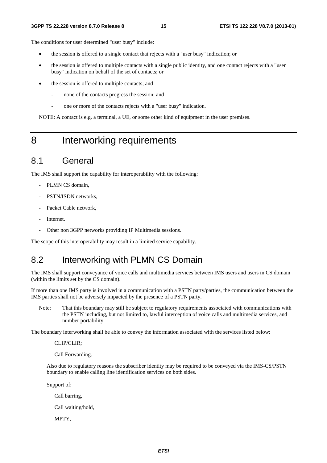The conditions for user determined "user busy" include:

- the session is offered to a single contact that rejects with a "user busy" indication; or
- the session is offered to multiple contacts with a single public identity, and one contact rejects with a "user busy" indication on behalf of the set of contacts; or
- the session is offered to multiple contacts; and
	- none of the contacts progress the session; and
	- one or more of the contacts rejects with a "user busy" indication.

NOTE: A contact is e.g. a terminal, a UE, or some other kind of equipment in the user premises.

#### 8 Interworking requirements

#### 8.1 General

The IMS shall support the capability for interoperability with the following:

- PLMN CS domain.
- PSTN/ISDN networks.
- Packet Cable network,
- Internet.
- Other non 3GPP networks providing IP Multimedia sessions.

The scope of this interoperability may result in a limited service capability.

#### 8.2 Interworking with PLMN CS Domain

The IMS shall support conveyance of voice calls and multimedia services between IMS users and users in CS domain (within the limits set by the CS domain).

If more than one IMS party is involved in a communication with a PSTN party/parties, the communication between the IMS parties shall not be adversely impacted by the presence of a PSTN party.

Note: That this boundary may still be subject to regulatory requirements associated with communications with the PSTN including, but not limited to, lawful interception of voice calls and multimedia services, and number portability.

The boundary interworking shall be able to convey the information associated with the services listed below:

CLIP/CLIR;

Call Forwarding.

Also due to regulatory reasons the subscriber identity may be required to be conveyed via the IMS-CS/PSTN boundary to enable calling line identification services on both sides.

Support of:

Call barring,

Call waiting/hold,

MPTY,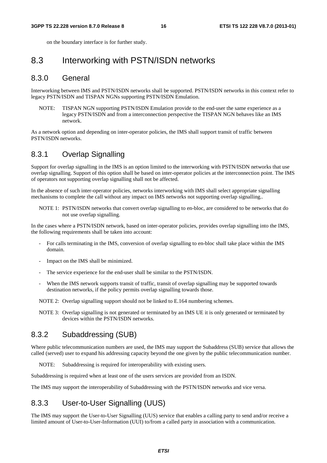on the boundary interface is for further study.

#### 8.3 Interworking with PSTN/ISDN networks

#### 8.3.0 General

Interworking between IMS and PSTN/ISDN networks shall be supported. PSTN/ISDN networks in this context refer to legacy PSTN/ISDN and TISPAN NGNs supporting PSTN/ISDN Emulation.

NOTE: TISPAN NGN supporting PSTN/ISDN Emulation provide to the end-user the same experience as a legacy PSTN/ISDN and from a interconnection perspective the TISPAN NGN behaves like an IMS network.

As a network option and depending on inter-operator policies, the IMS shall support transit of traffic between PSTN/ISDN networks.

#### 8.3.1 Overlap Signalling

Support for overlap signalling in the IMS is an option limited to the interworking with PSTN/ISDN networks that use overlap signalling. Support of this option shall be based on inter-operator policies at the interconnection point. The IMS of operators not supporting overlap signalling shall not be affected.

In the absence of such inter-operator policies, networks interworking with IMS shall select appropriate signalling mechanisms to complete the call without any impact on IMS networks not supporting overlap signalling..

NOTE 1: PSTN/ISDN networks that convert overlap signalling to en-bloc, are considered to be networks that do not use overlap signalling.

In the cases where a PSTN/ISDN network, based on inter-operator policies, provides overlap signalling into the IMS, the following requirements shall be taken into account:

- For calls terminating in the IMS, conversion of overlap signalling to en-bloc shall take place within the IMS domain.
- Impact on the IMS shall be minimized.
- The service experience for the end-user shall be similar to the PSTN/ISDN.
- When the IMS network supports transit of traffic, transit of overlap signalling may be supported towards destination networks, if the policy permits overlap signalling towards those.

NOTE 2: Overlap signalling support should not be linked to E.164 numbering schemes.

NOTE 3: Overlap signalling is not generated or terminated by an IMS UE it is only generated or terminated by devices within the PSTN/ISDN networks.

#### 8.3.2 Subaddressing (SUB)

Where public telecommunication numbers are used, the IMS may support the Subaddress (SUB) service that allows the called (served) user to expand his addressing capacity beyond the one given by the public telecommunication number.

NOTE: Subaddressing is required for interoperability with existing users.

Subaddressing is required when at least one of the users services are provided from an ISDN.

The IMS may support the interoperability of Subaddressing with the PSTN/ISDN networks and vice versa.

#### 8.3.3 User-to-User Signalling (UUS)

The IMS may support the User-to-User Signalling (UUS) service that enables a calling party to send and/or receive a limited amount of User-to-User-Information (UUI) to/from a called party in association with a communication.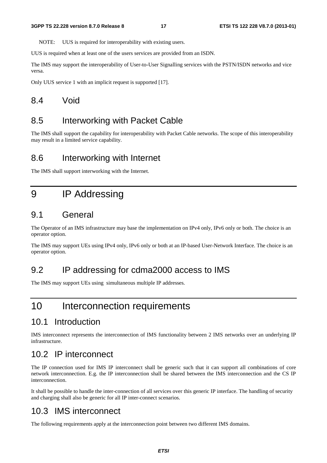NOTE: UUS is required for interoperability with existing users.

UUS is required when at least one of the users services are provided from an ISDN.

The IMS may support the interoperability of User-to-User Signalling services with the PSTN/ISDN networks and vice versa.

Only UUS service 1 with an implicit request is supported [17].

#### 8.4 Void

#### 8.5 Interworking with Packet Cable

The IMS shall support the capability for interoperability with Packet Cable networks. The scope of this interoperability may result in a limited service capability.

#### 8.6 Interworking with Internet

The IMS shall support interworking with the Internet.

#### 9 IP Addressing

#### 9.1 General

The Operator of an IMS infrastructure may base the implementation on IPv4 only, IPv6 only or both. The choice is an operator option.

The IMS may support UEs using IPv4 only, IPv6 only or both at an IP-based User-Network Interface. The choice is an operator option.

#### 9.2 IP addressing for cdma2000 access to IMS

The IMS may support UEs using simultaneous multiple IP addresses.

#### 10 Interconnection requirements

#### 10.1 Introduction

IMS interconnect represents the interconnection of IMS functionality between 2 IMS networks over an underlying IP infrastructure.

#### 10.2 IP interconnect

The IP connection used for IMS IP interconnect shall be generic such that it can support all combinations of core network interconnection. E.g. the IP interconnection shall be shared between the IMS interconnection and the CS IP interconnection.

It shall be possible to handle the inter-connection of all services over this generic IP interface. The handling of security and charging shall also be generic for all IP inter-connect scenarios.

#### 10.3 IMS interconnect

The following requirements apply at the interconnection point between two different IMS domains.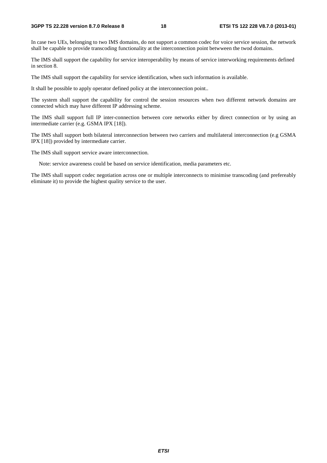#### **3GPP TS 22.228 version 8.7.0 Release 8 18 ETSI TS 122 228 V8.7.0 (2013-01)**

In case two UEs, belonging to two IMS domains, do not support a common codec for voice service session, the network shall be capable to provide transcoding functionality at the interconnection point betwween the twod domains.

The IMS shall support the capability for service interoperability by means of service interworking requirements defined in section 8.

The IMS shall support the capability for service identification, when such information is available.

It shall be possible to apply operator defined policy at the interconnection point..

The system shall support the capability for control the session resources when two different network domains are connected which may have different IP addressing scheme.

The IMS shall support full IP inter-connection between core networks either by direct connection or by using an intermediate carrier (e.g. GSMA IPX [18]).

The IMS shall support both bilateral interconnection between two carriers and multilateral interconnection (e.g GSMA IPX [18]) provided by intermediate carrier.

The IMS shall support service aware interconnection.

Note: service awareness could be based on service identification, media parameters etc.

The IMS shall support codec negotiation across one or multiple interconnects to minimise transcoding (and prefereably eliminate it) to provide the highest quality service to the user.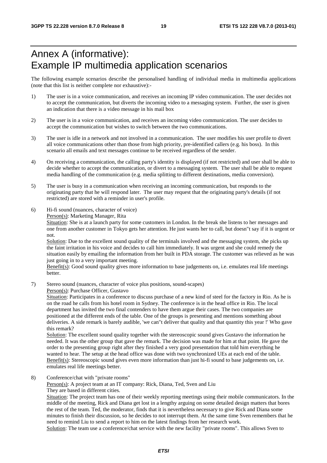## Annex A (informative): Example IP multimedia application scenarios

The following example scenarios describe the personalised handling of individual media in multimedia applications (note that this list is neither complete nor exhaustive):-

- 1) The user is in a voice communication, and receives an incoming IP video communication. The user decides not to accept the communication, but diverts the incoming video to a messaging system. Further, the user is given an indication that there is a video message in his mail box
- 2) The user is in a voice communication, and receives an incoming video communication. The user decides to accept the communication but wishes to switch between the two communications.
- 3) The user is idle in a network and not involved in a communication. The user modifies his user profile to divert all voice communications other than those from high priority, pre-identified callers (e.g. his boss). In this scenario all emails and text messages continue to be received regardless of the sender.
- 4) On receiving a communication, the calling party's identity is displayed (if not restricted) and user shall be able to decide whether to accept the communication, or divert to a messaging system. The user shall be able to request media handling of the communication (e.g. media splitting to different destinations, media conversion).
- 5) The user is busy in a communication when receiving an incoming communication, but responds to the originating party that he will respond later. The user may request that the originating party's details (if not restricted) are stored with a reminder in user's profile.
- 6) Hi-fi sound (nuances, character of voice)

Person(s): Marketing Manager, Rita

Situation: She is at a launch party for some customers in London. In the break she listens to her messages and one from another customer in Tokyo gets her attention. He just wants her to call, but doesn"t say if it is urgent or not.

Solution: Due to the excellent sound quality of the terminals involved and the messaging system, she picks up the faint irritation in his voice and decides to call him immediately. It was urgent and she could remedy the situation easily by emailing the information from her built in PDA storage. The customer was relieved as he was just going in to a very important meeting.

Benefit(s): Good sound quality gives more information to base judgements on, i.e. emulates real life meetings better.

7) Stereo sound (nuances, character of voice plus positions, sound-scapes)

Person(s): Purchase Officer, Gustavo

Situation: Participates in a conference to discuss purchase of a new kind of steel for the factory in Rio. As he is on the road he calls from his hotel room in Sydney. The conference is in the head office in Rio. The local department has invited the two final contenders to have them argue their cases. The two companies are positioned at the different ends of the table. One of the groups is presenting and mentions something about deliveries. A side remark is barely audible, 'we can"t deliver that quality and that quantity this year !' Who gave this remark?

Solution: The excellent sound quality together with the stereoscopic sound gives Gustavo the information he needed. It was the other group that gave the remark. The decision was made for him at that point. He gave the order to the presenting group right after they finished a very good presentation that told him everything he wanted to hear. The setup at the head office was done with two synchronized UEs at each end of the table. Benefit(s): Stereoscopic sound gives even more information than just hi-fi sound to base judgements on, i.e. emulates real life meetings better.

8) Conference/chat with "private rooms"

Person(s): A project team at an IT company: Rick, Diana, Ted, Sven and Liu They are based in different cities.

Situation: The project team has one of their weekly reporting meetings using their mobile communicators. In the middle of the meeting, Rick and Diana get lost in a lengthy arguing on some detailed design matters that bores the rest of the team. Ted, the moderator, finds that it is nevertheless necessary to give Rick and Diana some minutes to finish their discussion, so he decides to not interrupt them. At the same time Sven remembers that he need to remind Liu to send a report to him on the latest findings from her research work. Solution: The team use a conference/chat service with the new facility "private rooms". This allows Sven to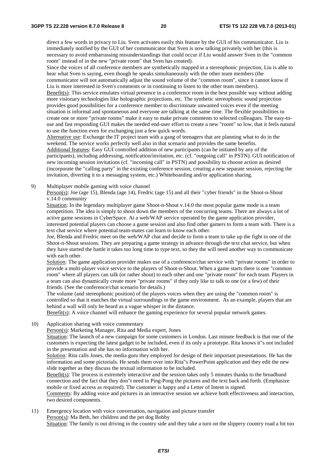direct a few words in privacy to Liu. Sven activates easily this feature by the GUI of his communicator. Liu is immediately notified by the GUI of her communicator that Sven is now talking privately with her (this is necessary to avoid embarrassing misunderstandings that could occur if Liu would answer Sven in the "common room" instead of in the new "private room" that Sven has created).

Since the voices of all conference members are synthetically mapped in a stereophonic projection, Liu is able to hear what Sven is saying, even though he speaks simultaneously with the other team members (the

communicator will not automatically adjust the sound volume of the "common room", since it cannot know if Liu is more interested in Sven's comments or in continuing to listen to the other team members).

Benefit(s): This service emulates virtual presence in a conference room in the best possible way without adding more visionary technologies like holographic projections, etc. The synthetic stereophonic sound projection provides good possibilities for a conference member to discriminate unwanted voices even if the meeting situation is informal and spontaneous and everyone are talking at the same time. The flexible possibilities to create one or more "private rooms" make it easy to make private comments to selected colleagues. The easy-touse and fast responding GUI makes the needed end-user effort to create a new "room" so low, that it feels natural to use the function even for exchanging just a few quick words.

Alternative use: Exchange the IT project team with a gang of teenagers that are planning what to do in the weekend. The service works perfectly well also in that scenario and provides the same benefits. Additional features: Easy GUI controlled addition of new participants (can be initiated by any of the participants), including addressing, notification/invitation, etc. (cf. "outgoing call" in PSTN). GUI notification of new incoming session invitations (cf. "incoming call" in PSTN) and possibility to choose action as desired (incorporate the "calling party" in the existing conference session, creating a new separate session, rejecting the invitation, diverting it to a messaging system, etc.) Whiteboarding and/or application sharing.

9) Multiplayer mobile gaming with voice channel

Person(s): Joe (age 15), Blenda (age 14), Fredric (age 15) and all their "cyber friends" in the Shoot-n-Shout v.14.0 community

Situation: In the legendary multiplayer game Shoot-n-Shout v.14.0 the most popular game mode is a team competition. The idea is simply to shoot down the members of the concurring teams. There are always a lot of active game sessions in CyberSpace. At a web/WAP service operated by the game application provider, interested potential players can choose a game session and also find other gamers to form a team with. There is a text chat service where potential team-mates can learn to know each other.

Joe, Blenda and Fredric meet on the web/WAP chat and decide to form a team to take up the fight in one of the Shoot-n-Shout sessions. They are preparing a game strategy in advance through the text chat service, but when they have started the battle it takes too long time to type text, so they the will need another way to communicate with each other.

Solution: The game application provider makes use of a conference/chat service with "private rooms" in order to provide a multi-player voice service to the players of Shoot-n-Shout. When a game starts there is one "common room" where all players can talk (or rather shout) to each other and one "private room" for each team. Players in a team can also dynamically create more "private rooms" if they only like to talk to one (or a few) of their friends. (See the conference/chat scenario for details.)

The volume (and stereophonic position) of the players voices when they are using the "common room" is controlled so that it matches the virtual surroundings in the game environment. As an example, players that are behind a wall will only be heard as a vague whisper in the distance.

Benefit(s): A voice channel will enhance the gaming experience for several popular network games.

10) Application sharing with voice commentary

Person(s): Marketing Manager, Rita and Media expert, Jones

Situation: The launch of a new campaign for some customers in London. Last minute feedback is that one of the customers is expecting the latest gadget to be included, even if its only a prototype. Rita knows it"s not included in the presentation and she has no information with her.

Solution: Rita calls Jones, the media guru they employed for design of their important presentations. He has the information and some pictorials. He sends them over into Rita"s PowerPoint application and they edit the new slide together as they discuss the textual information to be included.

Benefit(s): The process is extremely interactive and the session takes only 5 minutes thanks to the broadband connection and the fact that they don"t need to Ping-Pong the pictures and the text back and forth. (Emphasize mobile or fixed access as required). The customer is happy and a Letter of Intent is signed.

Comments: By adding voice and pictures in an interactive session we achieve both effectiveness and interaction, two desired components.

11) Emergency location with voice conversation, navigation and picture transfer Person(s): Ma Beth, her children and the pet dog Bobby Situation: The family is out driving in the country side and they take a turn on the slippery country road a bit too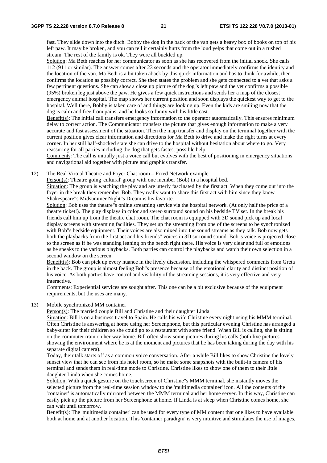fast. They slide down into the ditch. Bobby the dog in the back of the van gets a heavy box of books on top of his left paw. It may be broken, and you can tell it certainly hurts from the loud yelps that come out in a rushed stream. The rest of the family is ok. They were all buckled up.

Solution: Ma Beth reaches for her communicator as soon as she has recovered from the initial shock. She calls 112 (911 or similar). The answer comes after 23 seconds and the operator immediately confirms the identity and the location of the van. Ma Beth is a bit taken aback by this quick information and has to think for awhile, then confirms the location as possibly correct. She then states the problem and she gets connected to a vet that asks a few pertinent questions. She can show a close up picture of the dog"s left paw and the vet confirms a possible (95%) broken leg just above the paw. He gives a few quick instructions and sends her a map of the closest emergency animal hospital. The map shows her current position and soon displays the quickest way to get to the hospital. Well there, Bobby is taken care of and things are looking up. Even the kids are smiling now that the dog is calm and free from pains, and he looks so funny with his little cast.

Benefit(s): The initial call transfers emergency information to the operator automatically. This ensures minimum delay to correct action. The Communicator transfers the picture that gives enough information to make a very accurate and fast assessment of the situation. Then the map transfer and display on the terminal together with the current position gives clear information and directions for Ma Beth to drive and make the right turns at every corner. In her still half-shocked state she can drive to the hospital without hesitation about where to go. Very reassuring for all parties including the dog that gets fastest possible help.

Comments: The call is initially just a voice call but evolves with the best of positioning in emergency situations and navigational aid together with picture and graphics transfer.

12) The Real Virtual Theatre and Foyer Chat room – Fixed Network example

Person(s): Theatre going 'cultural' group with one member (Bob) in a hospital bed.

Situation: The group is watching the play and are utterly fascinated by the first act. When they come out into the foyer in the break they remember Bob. They really want to share this first act with him since they know Shakespeare"s Midsummer Night"s Dream is his favorite.

Solution: Bob uses the theatre"s online streaming service via the hospital network. (At only half the price of a theatre ticket!). The play displays in color and stereo surround sound on his bedside TV set. In the break his friends call him up from the theatre chat room. The chat room is equipped with 3D sound pick up and local display screens with streaming facilities. They set up the streaming from one of the screens to be synchronized with Bob"s bedside equipment. Their voices are also mixed into the sound streams as they talk. Bob now gets both the playbacks from the first act and his friends" voices in 3D surround sound. Bob"s voice is projected close to the screen as if he was standing leaning on the bench right there. His voice is very clear and full of emotions as he speaks to the various playbacks. Both parties can control the playbacks and watch their own selection in a second window on the screen.

Benefit(s): Bob can pick up every nuance in the lively discussion, including the whispered comments from Greta in the back. The group is almost feeling Bob"s presence because of the emotional clarity and distinct position of his voice. As both parties have control and visibility of the streaming sessions, it is very effective and very interactive.

Comments: Experiential services are sought after. This one can be a bit exclusive because of the equipment requirements, but the uses are many.

13) Mobile synchronized MM container

Person(s): The married couple Bill and Christine and their daughter Linda

Situation: Bill is on a business travel to Spain. He calls his wife Christine every night using his MMM terminal. Often Christine is answering at home using her Screenphone, but this particular evening Christine has arranged a baby-sitter for their children so she could go to a restaurant with some friend. When Bill is calling, she is sitting on the commuter train on her way home. Bill often show some pictures during his calls (both live pictures showing the environment where he is at the moment and pictures that he has been taking during the day with his separate digital camera).

Today, their talk starts off as a common voice conversation. After a while Bill likes to show Christine the lovely sunset view that he can see from his hotel room, so he make some snapshots with the built-in camera of his terminal and sends them in real-time mode to Christine. Christine likes to show one of them to their little daughter Linda when she comes home.

Solution: With a quick gesture on the touchscreen of Christine"s MMM terminal, she instantly moves the selected picture from the real-time session window to the 'multimedia container' icon. All the contents of the 'container' is automatically mirrored between the MMM terminal and her home server. In this way, Christine can easily pick up the picture from her Screenphone at home. If Linda is at sleep when Christine comes home, she can wait until tomorrow.

Benefit(s): The 'multimedia container' can be used for every type of MM content that one likes to have available both at home and at another location. This 'container paradigm' is very intuitive and stimulates the use of images,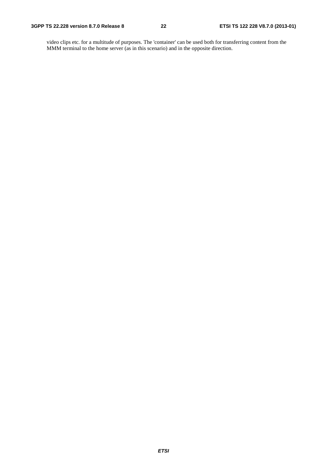video clips etc. for a multitude of purposes. The 'container' can be used both for transferring content from the MMM terminal to the home server (as in this scenario) and in the opposite direction.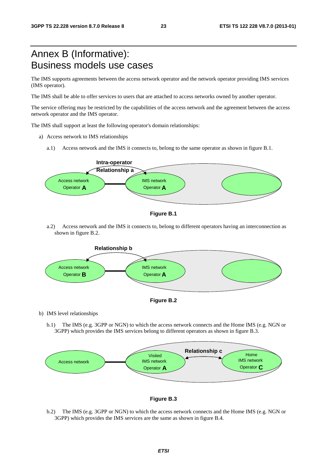## Annex B (Informative): Business models use cases

The IMS supports agreements between the access network operator and the network operator providing IMS services (IMS operator).

The IMS shall be able to offer services to users that are attached to access networks owned by another operator.

The service offering may be restricted by the capabilities of the access network and the agreement between the access network operator and the IMS operator.

The IMS shall support at least the following operator's domain relationships:

- a) Access network to IMS relationships
	- a.1) Access network and the IMS it connects to, belong to the same operator as shown in figure B.1.





a.2) Access network and the IMS it connects to, belong to different operators having an interconnection as shown in figure B.2.





b) IMS level relationships

b.1) The IMS (e.g. 3GPP or NGN) to which the access network connects and the Home IMS (e.g. NGN or 3GPP) which provides the IMS services belong to different operators as shown in figure B.3.





b.2) The IMS (e.g. 3GPP or NGN) to which the access network connects and the Home IMS (e.g. NGN or 3GPP) which provides the IMS services are the same as shown in figure B.4.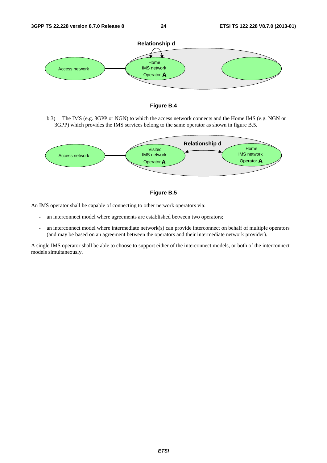



b.3) The IMS (e.g. 3GPP or NGN) to which the access network connects and the Home IMS (e.g. NGN or 3GPP) which provides the IMS services belong to the same operator as shown in figure B.5.





An IMS operator shall be capable of connecting to other network operators via:

- an interconnect model where agreements are established between two operators;
- an interconnect model where intermediate network(s) can provide interconnect on behalf of multiple operators (and may be based on an agreement between the operators and their intermediate network provider).

A single IMS operator shall be able to choose to support either of the interconnect models, or both of the interconnect models simultaneously.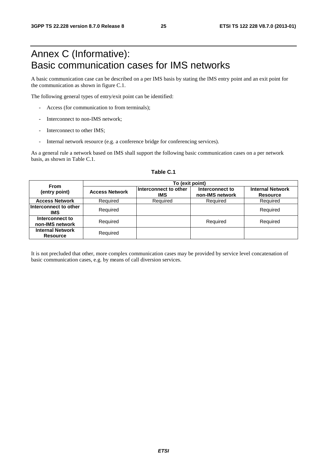## Annex C (Informative): Basic communication cases for IMS networks

A basic communication case can be described on a per IMS basis by stating the IMS entry point and an exit point for the communication as shown in figure C.1.

The following general types of entry/exit point can be identified:

- Access (for communication to from terminals);
- Interconnect to non-IMS network:
- Interconnect to other IMS:
- Internal network resource (e.g. a conference bridge for conferencing services).

As a general rule a network based on IMS shall support the following basic communication cases on a per network basis, as shown in Table C.1.

| <b>From</b>                                |                       | To (exit point)                     |                                    |                                            |
|--------------------------------------------|-----------------------|-------------------------------------|------------------------------------|--------------------------------------------|
| (entry point)                              | <b>Access Network</b> | Interconnect to other<br><b>IMS</b> | Interconnect to<br>non-IMS network | <b>Internal Network</b><br><b>Resource</b> |
| <b>Access Network</b>                      | Required              | Required                            | Required                           | Required                                   |
| Interconnect to other<br>IMS               | Required              |                                     |                                    | Required                                   |
| Interconnect to<br>non-IMS network         | Required              |                                     | Required                           | Required                                   |
| <b>Internal Network</b><br><b>Resource</b> | Required              |                                     |                                    |                                            |

#### **Table C.1**

It is not precluded that other, more complex communication cases may be provided by service level concatenation of basic communication cases, e.g. by means of call diversion services.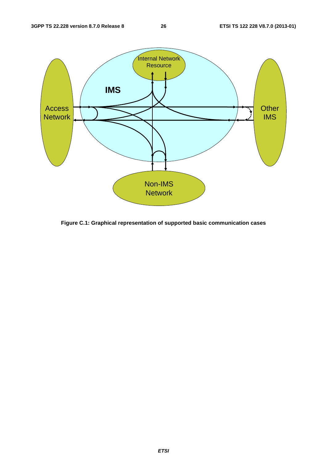

**Figure C.1: Graphical representation of supported basic communication cases**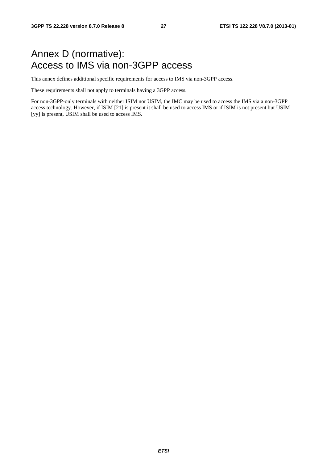## Annex D (normative): Access to IMS via non-3GPP access

This annex defines additional specific requirements for access to IMS via non-3GPP access.

These requirements shall not apply to terminals having a 3GPP access.

For non-3GPP-only terminals with neither ISIM nor USIM, the IMC may be used to access the IMS via a non-3GPP access technology. However, if ISIM [21] is present it shall be used to access IMS or if ISIM is not present but USIM [yy] is present, USIM shall be used to access IMS.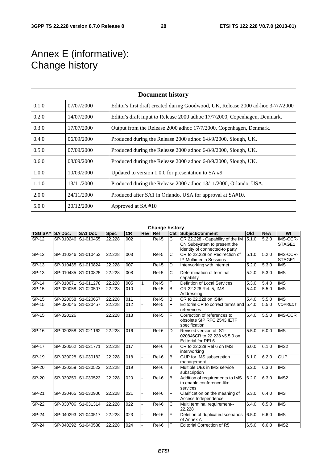## Annex E (informative): Change history

|       | <b>Document history</b> |                                                                                  |  |  |  |  |  |  |
|-------|-------------------------|----------------------------------------------------------------------------------|--|--|--|--|--|--|
| 0.1.0 | 07/07/2000              | Editor's first draft created during Goodwood, UK, Release 2000 ad-hoc 3-7/7/2000 |  |  |  |  |  |  |
| 0.2.0 | 14/07/2000              | Editor's draft input to Release 2000 adhoc 17/7/2000, Copenhagen, Denmark.       |  |  |  |  |  |  |
| 0.3.0 | 17/07/2000              | Output from the Release 2000 adhoc 17/7/2000, Copenhagen, Denmark.               |  |  |  |  |  |  |
| 0.4.0 | 06/09/2000              | Produced during the Release 2000 adhoc 6-8/9/2000, Slough, UK.                   |  |  |  |  |  |  |
| 0.5.0 | 07/09/2000              | Produced during the Release 2000 adhoc 6-8/9/2000, Slough, UK.                   |  |  |  |  |  |  |
| 0.6.0 | 08/09/2000              | Produced during the Release 2000 adhoc 6-8/9/2000, Slough, UK.                   |  |  |  |  |  |  |
| 1.0.0 | 10/09/2000              | Updated to version 1.0.0 for presentation to SA #9.                              |  |  |  |  |  |  |
| 1.1.0 | 13/11/2000              | Produced during the Release 2000 adhoc 13/11/2000, Orlando, USA.                 |  |  |  |  |  |  |
| 2.0.0 | 24/11/2000              | Produced after SA1 in Orlando, USA for approval at SA#10.                        |  |  |  |  |  |  |
| 5.0.0 | 20/12/2000              | Approved at SA#10                                                                |  |  |  |  |  |  |

| <b>Change history</b> |                     |                |             |                  |            |                   |                |                                                                                                   |                    |            |                         |
|-----------------------|---------------------|----------------|-------------|------------------|------------|-------------------|----------------|---------------------------------------------------------------------------------------------------|--------------------|------------|-------------------------|
| <b>TSG SA#</b>        | <b>SA Doc.</b>      | <b>SA1 Doc</b> | <b>Spec</b> | <b>CR</b>        | <b>Rev</b> | Rel               |                | Cat Subject/Comment                                                                               | Old                | <b>New</b> | WI                      |
| SP-12                 | SP-010246 S1-010455 |                | 22.228      | 002              |            | Rel-5             | C              | CR 22.228 - Capability of the IM<br>CN Subsystem to present the<br>identity of connected-to party | 5.1.0              | 5.2.0      | IMS-CCR-<br>STAGE1      |
| $SP-12$               | SP-010246 S1-010453 |                | 22.228      | 003              |            | Rel-5             | C              | CR to 22.228 on Redirection of<br>IP Multimedia Sessions                                          | 5.1.0              | 5.2.0      | IMS-CCR-<br>STAGE1      |
| $SP-13$               | SP-010435 S1-010824 |                | 22.228      | $\overline{007}$ |            | Rel-5             | D              | Interworking with internet                                                                        | 5.2.0              | 5.3.0      | <b>IMS</b>              |
| $SP-13$               | SP-010435 S1-010825 |                | 22.228      | 008              |            | Rel-5             | C              | Determination of terminal<br>capability                                                           | $\overline{5.2.0}$ | 5.3.0      | <b>IMS</b>              |
| $SP-14$               | SP-010671 S1-011278 |                | 22.228      | 005              |            | Rel-5             | F              | Defintion of Local Services                                                                       | 5.3.0              | 5.4.0      | <b>IMS</b>              |
| SP-15                 | SP-020058 S1-020507 |                | 22.228      | 010              |            | Rel-5             | B              | CR 22.228 Rel. 5, IMS<br>Addressing                                                               | 5.4.0              | 5.5.0      | <b>IMS</b>              |
| SP-15                 | SP-020058 S1-020657 |                | 22.228      | 011              |            | Rel-5             | B              | CR to 22.228 on ISIM                                                                              | $\overline{5.4.0}$ | 5.5.0      | <b>IMS</b>              |
| $SP-15$               | SP-020045 S1-020457 |                | 22.228      | 012              |            | Rel-5             | F              | Editorial CR to correct terms and<br>references                                                   | 5.4.0              | 5.5.0      | <b>CORRECT</b>          |
| $SP-15$               | SP-020126           |                | 22.228      | 013              |            | Rel-5             | F              | Correction of references to<br>obsolete SIP RFC 2543 IETF<br>specification                        | 5.4.0              | 5.5.0      | <b>IMS-CCR</b>          |
| $SP-16$               | SP-020258 S1-021162 |                | 22.228      | 016              |            | $\overline{Rel6}$ | $\overline{D}$ | Revised version of S1-<br>020846CR to 22,228 v5.5.0 on<br><b>Editorial for REL6</b>               | $\overline{5.5.0}$ | 6.0.0      | <b>IMS</b>              |
| <b>SP-17</b>          | SP-020562 S1-021771 |                | 22.228      | 017              |            | Rel-6             | B              | CR to 22.228 Rel 6 on IMS<br>interworking                                                         | 6.0.0              | 6.1.0      | IMS <sub>2</sub>        |
| SP-19                 | SP-030028 S1-030182 |                | 22.228      | 018              |            | Rel-6             | $\overline{B}$ | GUP for IMS subscription<br>management                                                            | 6.1.0              | 6.2.0      | <b>GUP</b>              |
| SP-20                 | SP-030259 S1-030522 |                | 22.228      | 019              |            | $\overline{Rel6}$ | B              | Multiple UEs in IMS service<br>subscription                                                       | 6.2.0              | 6.3.0      | <b>IMS</b>              |
| SP-20                 | SP-030259 S1-030523 |                | 22.228      | 020              |            | Rel-6             | B              | Addition of requirements to IMS<br>to enable conference-like<br>services                          | 6.2.0              | 6.3.0      | IMS <sub>2</sub>        |
| SP-21                 | SP-030465 S1-030906 |                | 22.228      | 021              |            | Rel-6             | F              | Clarification on the meaning of<br>Access Independence                                            | 6.3.0              | 6.4.0      | <b>IMS</b>              |
| $S P - 22$            | SP-030706 S1-031314 |                | 22.228      | 022              |            | Rel-6             | $\overline{c}$ | Multi terminal requirement--<br>22.228                                                            | 6.4.0              | 6.5.0      | $\overline{\text{IMS}}$ |
| <b>SP-24</b>          | SP-040293 S1-040517 |                | 22.228      | 023              |            | Rel-6             | F              | Deletion of duplicated scenarios<br>of Annex A                                                    | 6.5.0              | 6.6.0      | <b>IMS</b>              |
| $SP-24$               | SP-040292 S1-040538 |                | 22.228      | 024              |            | $\overline{Rel6}$ | F              | <b>Editorial Correction of R5</b>                                                                 | 6.5.0              | 6.6.0      | IMS <sub>2</sub>        |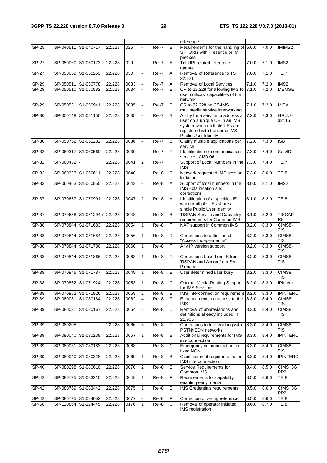|              |                     |                      |        |      |                |         |                | reference                                                                                                                                                   |       |       |                            |
|--------------|---------------------|----------------------|--------|------|----------------|---------|----------------|-------------------------------------------------------------------------------------------------------------------------------------------------------------|-------|-------|----------------------------|
| SP-25        | SP-040511 S1-040717 |                      | 22.228 | 025  |                | Rel-7   | B              | Requirements for the handling of 6.6.0<br>SIP URIs with Presence or IM<br>prefixes                                                                          |       | 7.0.0 | <b>IMIMS2</b>              |
| <b>SP-27</b> |                     | SP-050060 S1-050173  | 22.228 | 029  | ÷.             | Rel-7   | Α              | Tel-URI related reference<br>update                                                                                                                         | 7.0.0 | 7.1.0 | IMS2                       |
| <b>SP-27</b> | SP-050059           | S1-050253            | 22.228 | 030  |                | Rel-7   | Α              | Removal of Reference to TS<br>22.121                                                                                                                        | 7.0.0 | 7.1.0 | TEI7                       |
| SP-29        |                     | SP-050511 S1-050778  | 22.228 | 0033 |                | Rel-7   | A              | Removal of Local Services                                                                                                                                   | 7.1.0 | 7.2.0 | IMS <sub>2</sub>           |
| SP-29        |                     | SP-050510 S1-050882  | 22.228 | 0034 |                | Rel-7   | B              | CR to 22.228 for allowing IMS to<br>use multicast capabilities of the<br>network                                                                            | 7.1.0 | 7.2.0 | <b>MBMSE</b>               |
| SP-29        | SP-050531           | S1-050941            | 22.228 | 0035 |                | Rel-7   | В              | CR to 22.228 on CS-IMS<br>multimedia service interworking                                                                                                   | 7.1.0 | 7.2.0 | <b>MITe</b>                |
| SP-30        |                     | SP-050748 S1-051150  | 22.228 | 0035 |                | Rel-7   | B              | Ability for a service to address a<br>user on a unique UE in an IMS<br>system when multiple UEs are<br>registered with the same IMS<br>Public User Identity | 7.2.0 | 7.30  | GRUU -<br>32116            |
| SP-30        |                     | SP-050752 S1-051232  | 22.228 | 0036 |                | Rel-7   | B              | Clarify multiple applications per<br>service                                                                                                                | 7.2.0 | 7.3.0 | <b>ISB</b>                 |
| $SP-32$      |                     | SP-060317 S1-060560  | 22.228 | 0039 | ä,             | $ReI-7$ | F              | Identification of communication<br>services, AI30-06                                                                                                        | 7.3.0 | 7.4.0 | ServID                     |
| SP-32        | SP-060432           |                      | 22.228 | 0041 | $\overline{2}$ | Rel-7   | F              | Support of Local Numbers in the<br><b>IMS</b>                                                                                                               | 7.3.0 | 7.4.0 | TEI7                       |
| $SP-32$      | SP-060323 S1-060611 |                      | 22.228 | 0040 |                | Rel-8   | $\overline{B}$ | Network requested IMS session<br>initiation                                                                                                                 | 7.3.0 | 8.0.0 | TEI8                       |
| $SP-33$      |                     | SP-060463 S1-060855  | 22.228 | 0043 |                | Rel-8   | A              | Support of local numbers in the<br>IMS - clarification and<br>corrections                                                                                   | 8.0.0 | 8.1.0 | IMS <sub>2</sub>           |
| SP-37        | SP-070657 S1-070991 |                      | 22.228 | 0047 | <sup>2</sup>   | Rel-8   | A              | Identification of a specific UE<br>when multiple UEs share a<br>single Public User Identity                                                                 | 8.1.0 | 8.2.0 | TEI8                       |
| $SP-37$      |                     | SP-070658 S1-071294b | 22.228 | 0048 |                | Rel-8   | $\overline{B}$ | <b>TISPAN Service and Capability</b><br>requirements for Common IMS                                                                                         | 8.1.0 | 8.2.0 | <b>TISCAP-</b><br>R8       |
| <b>SP-38</b> |                     | SP-070844 S1-071683  | 22.228 | 0054 | $\mathbf{1}$   | Rel-8   | F              | NAT support in Common IMS                                                                                                                                   | 8.2.0 | 8.3.0 | CIMS8-<br><b>TIS</b>       |
| SP-38        |                     | SP-070844 S1-071684  | 22.228 | 0056 | $\mathbf{1}$   | Rel-8   | D              | Corrections to definition of<br>"Access Independence"                                                                                                       | 8.2.0 | 8.3.0 | CIMS8-<br>TIS              |
| SP-38        |                     | SP-070844 S1-071780  | 22.228 | 0060 | $\mathbf{1}$   | Rel-8   | F              | Any IP version support                                                                                                                                      | 8.2.0 | 8.3.0 | CIMS8-<br>TIS              |
| SP-38        | SP-070844           | S1-071866            | 22.228 | 0063 | $\mathbf{1}$   | Rel-8   | F              | Corrections based on LS from<br><b>TISPAN and Action from SA</b><br>Plenary                                                                                 | 8.2.0 | 8.3.0 | CIMS8-<br><b>TIS</b>       |
| $SP-38$      | SP-070846 S1-071787 |                      | 22.228 | 0049 | $\mathbf{1}$   | Rel-8   | B              | User determined user busy                                                                                                                                   | 8.2.0 | 8.3.0 | CIMS8-<br><b>TIS</b>       |
| <b>SP-38</b> |                     | SP-070862 S1-071924  | 22.228 | 0053 | $\mathbf{1}$   | Rel-8   | C              | Optimal Media Routing Support 8.2.0<br>for IMS Sessions                                                                                                     |       | 8.3.0 | <b>IPinterc</b>            |
| SP-38        |                     | SP-070862 S1-071926  | 22.228 | 0059 | $\overline{2}$ | Rel-8   | B              | IMS Interconnection requirement 8.2.0                                                                                                                       |       | 8.3.0 | <b>IPINTERC</b>            |
| SP-39        | SP-080031           | S1-080184            | 22.228 | 0062 | $\overline{4}$ | Rel-8   | F              | Enhancements on access to the<br><b>IMS</b>                                                                                                                 | 8.3.0 | 8.4.0 | CIMS8-<br>TIS              |
| SP-39        |                     | SP-080031 S1-080167  | 22.228 | 0064 | $\sqrt{2}$     | Rel-8   | D              | Removal of abbreviations and<br>definitions already included in<br>21.905                                                                                   | 8.3.0 | 8.4.0 | CIMS8-<br><b>TIS</b>       |
| SP-39        | SP-080205           |                      | 22.228 | 0066 | 3              | Rel-8   | F              | Corrections to Interworking with<br>PSTN/ISDN networks                                                                                                      | 8.3.0 | 8.4.0 | CIMS8-<br>TIS              |
| SP-39        |                     | SP-080040 S1-080238  | 22.228 | 0067 | $\mathbf{1}$   | Rel-8   | В              | Additional requirements for IMS<br>interconnection                                                                                                          | 8.3.0 | 8.4.0 | <b>IPINTERC</b>            |
| SP-39        | SP-080031           | S1-080183            | 22.228 | 0068 |                | Rel-8   | С              | Emergency communication for<br>fixed NGN                                                                                                                    | 8.3.0 | 8.4.0 | CIMS8-<br>TIS              |
| SP-39        | SP-080040           | S1-080328            | 22.228 | 0069 | $\mathbf{1}$   | Rel-8   | В              | Clarification of requirements for<br>IMS interconnection                                                                                                    | 8.3.0 | 8.4.0 | <b>IPINTERC</b>            |
| SP-40        |                     | SP-080298 S1-080610  | 22.228 | 0070 | $\overline{2}$ | Rel-8   | В              | Service Requirements for<br>Common IMS                                                                                                                      | 8.4.0 | 8.5.0 | CIMS_3G<br>PP <sub>2</sub> |
| SP-42        |                     | SP-080775 S1-083215  | 22.228 | 0048 | $\mathbf{1}$   | Rel-8   | F              | Requirements for capability<br>enabling early media                                                                                                         | 8.5.0 | 8.6.0 | TEI8                       |
| SP-42        |                     | SP-080769 S1-083442  | 22.228 | 0075 | 1              | Rel-8   | в              | <b>IMS Credentials requirements</b>                                                                                                                         | 8.5.0 | 8.6.0 | CIMS_3G<br>PP <sub>2</sub> |
| SP-42        |                     | SP-080775 S1-084052  | 22.228 | 0077 |                | Rel-8   | F              | Correction of wrong reference                                                                                                                               | 8.5.0 | 8.6.0 | TE <sub>18</sub>           |
| SP-58        |                     | SP-120864 S1-124445  | 22.228 | 0176 | 1              | Rel-8   | С              | Removal of operator initiated<br>IMS registration                                                                                                           | 8.6.0 | 8.7.0 | TEI8                       |